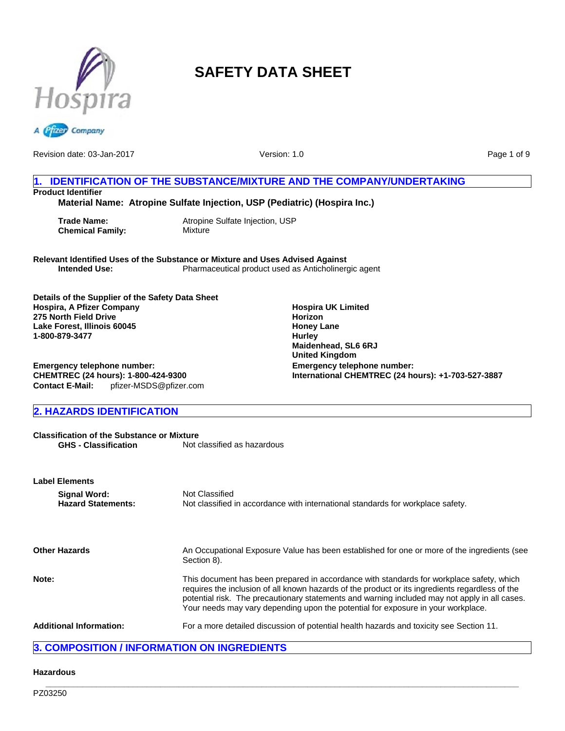



Revision date: 03-Jan-2017

Version: 1.0

Page 1 of 9

## **1. IDENTIFICATION OF THE SUBSTANCE/MIXTURE AND THE COMPANY/UNDERTAKING Product Identifier**

**Material Name: Atropine Sulfate Injection, USP (Pediatric) (Hospira Inc.)**

**Chemical Family:** Mixture

**Trade Name:** Atropine Sulfate Injection, USP

**Relevant Identified Uses of the Substance or Mixture and Uses Advised Against Intended Use:** Pharmaceutical product used as Anticholinergic agent

**Details of the Supplier of the Safety Data Sheet Hospira, A Pfizer Company 275 North Field Drive Lake Forest, Illinois 60045 1-800-879-3477**

**Contact E-Mail:** pfizer-MSDS@pfizer.com **Emergency telephone number: CHEMTREC (24 hours): 1-800-424-9300**

## **2. HAZARDS IDENTIFICATION**

**Classification of the Substance or Mixture**<br>**GHS - Classification** Not on Not classified as hazardous

| <b>Label Elements</b> |                                           |                                                                                                                                                                                                                                                                                                                                                                                  |  |
|-----------------------|-------------------------------------------|----------------------------------------------------------------------------------------------------------------------------------------------------------------------------------------------------------------------------------------------------------------------------------------------------------------------------------------------------------------------------------|--|
|                       | Signal Word:<br><b>Hazard Statements:</b> | Not Classified<br>Not classified in accordance with international standards for workplace safety.                                                                                                                                                                                                                                                                                |  |
|                       | <b>Other Hazards</b>                      | An Occupational Exposure Value has been established for one or more of the ingredients (see<br>Section 8).                                                                                                                                                                                                                                                                       |  |
| Note:                 |                                           | This document has been prepared in accordance with standards for workplace safety, which<br>requires the inclusion of all known hazards of the product or its ingredients regardless of the<br>potential risk. The precautionary statements and warning included may not apply in all cases.<br>Your needs may vary depending upon the potential for exposure in your workplace. |  |
|                       | <b>Additional Information:</b>            | For a more detailed discussion of potential health hazards and toxicity see Section 11.                                                                                                                                                                                                                                                                                          |  |

## **3. COMPOSITION / INFORMATION ON INGREDIENTS**

## **Hazardous**

**Emergency telephone number: International CHEMTREC (24 hours): +1-703-527-3887 Hospira UK Limited Horizon Honey Lane Hurley Maidenhead, SL6 6RJ United Kingdom**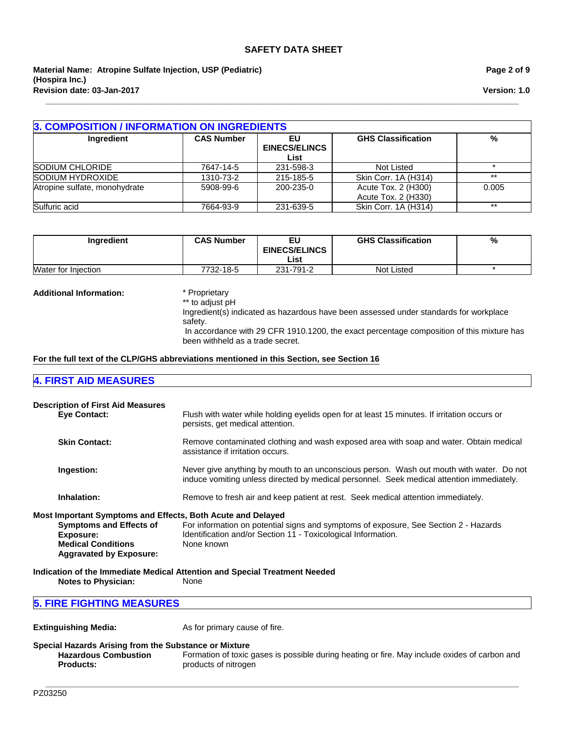**Material Name: Atropine Sulfate Injection, USP (Pediatric) (Hospira Inc.) Revision date: 03-Jan-2017**

#### **Page 2 of 9**

**Version: 1.0**

| Ingredient                    | <b>CAS Number</b> | EU                           | <b>GHS Classification</b>                  | %     |
|-------------------------------|-------------------|------------------------------|--------------------------------------------|-------|
|                               |                   | <b>EINECS/ELINCS</b><br>List |                                            |       |
| SODIUM CHLORIDE               | 7647-14-5         | 231-598-3                    | Not Listed                                 |       |
| SODIUM HYDROXIDE              | 1310-73-2         | 215-185-5                    | Skin Corr. 1A (H314)                       | $***$ |
| Atropine sulfate, monohydrate | 5908-99-6         | 200-235-0                    | Acute Tox. 2 (H300)<br>Acute Tox. 2 (H330) | 0.005 |
| Sulfuric acid                 | 7664-93-9         | 231-639-5                    | Skin Corr. 1A (H314)                       | $***$ |

**\_\_\_\_\_\_\_\_\_\_\_\_\_\_\_\_\_\_\_\_\_\_\_\_\_\_\_\_\_\_\_\_\_\_\_\_\_\_\_\_\_\_\_\_\_\_\_\_\_\_\_\_\_\_\_\_\_\_\_\_\_\_\_\_\_\_\_\_\_\_\_\_\_\_\_\_\_\_\_\_\_\_\_\_\_\_\_\_\_\_\_\_\_\_\_\_\_\_\_\_\_\_\_**

| <b>Ingredient</b>   | <b>CAS Number</b> | EU<br><b>EINECS/ELINCS</b><br>List | <b>GHS Classification</b> | % |
|---------------------|-------------------|------------------------------------|---------------------------|---|
| Water for Injection | 7732-18-5         | 231-791-2                          | Not Listed                |   |

#### **Additional Information:** \* Proprietary

\*\* to adjust pH

Ingredient(s) indicated as hazardous have been assessed under standards for workplace safety.

 In accordance with 29 CFR 1910.1200, the exact percentage composition of this mixture has been withheld as a trade secret.

#### **For the full text of the CLP/GHS abbreviations mentioned in this Section, see Section 16**

### **4. FIRST AID MEASURES**

| <b>Description of First Aid Measures</b><br><b>Eve Contact:</b>                                                                                                           | Flush with water while holding eyelids open for at least 15 minutes. If irritation occurs or<br>persists, get medical attention.                                                      |
|---------------------------------------------------------------------------------------------------------------------------------------------------------------------------|---------------------------------------------------------------------------------------------------------------------------------------------------------------------------------------|
| <b>Skin Contact:</b>                                                                                                                                                      | Remove contaminated clothing and wash exposed area with soap and water. Obtain medical<br>assistance if irritation occurs.                                                            |
| Ingestion:                                                                                                                                                                | Never give anything by mouth to an unconscious person. Wash out mouth with water. Do not<br>induce vomiting unless directed by medical personnel. Seek medical attention immediately. |
| Inhalation:                                                                                                                                                               | Remove to fresh air and keep patient at rest. Seek medical attention immediately.                                                                                                     |
| Most Important Symptoms and Effects, Both Acute and Delayed<br><b>Symptoms and Effects of</b><br>Exposure:<br><b>Medical Conditions</b><br><b>Aggravated by Exposure:</b> | For information on potential signs and symptoms of exposure, See Section 2 - Hazards<br>Identification and/or Section 11 - Toxicological Information.<br>None known                   |

**Indication of the Immediate Medical Attention and Special Treatment Needed Notes to Physician:** 

## **5. FIRE FIGHTING MEASURES**

**Extinguishing Media:** As for primary cause of fire.

**Special Hazards Arising from the Substance or Mixture Hazardous Combustion Products:** Formation of toxic gases is possible during heating or fire. May include oxides of carbon and products of nitrogen

**\_\_\_\_\_\_\_\_\_\_\_\_\_\_\_\_\_\_\_\_\_\_\_\_\_\_\_\_\_\_\_\_\_\_\_\_\_\_\_\_\_\_\_\_\_\_\_\_\_\_\_\_\_\_\_\_\_\_\_\_\_\_\_\_\_\_\_\_\_\_\_\_\_\_\_\_\_\_\_\_\_\_\_\_\_\_\_\_\_\_\_\_\_\_\_\_\_\_\_\_\_\_\_**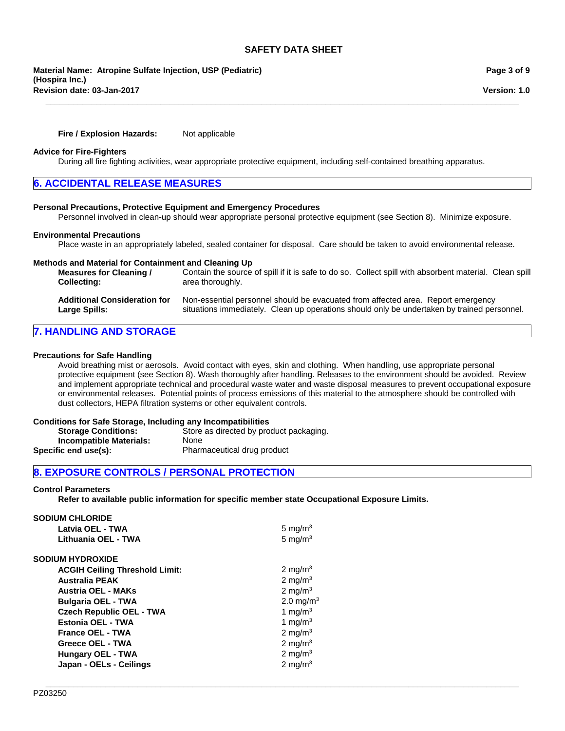**Revision date: 03-Jan-2017 Material Name: Atropine Sulfate Injection, USP (Pediatric) (Hospira Inc.)**

**Fire / Explosion Hazards:** Not applicable

#### **Advice for Fire-Fighters**

During all fire fighting activities, wear appropriate protective equipment, including self-contained breathing apparatus.

## **6. ACCIDENTAL RELEASE MEASURES**

#### **Personal Precautions, Protective Equipment and Emergency Procedures**

Personnel involved in clean-up should wear appropriate personal protective equipment (see Section 8). Minimize exposure.

#### **Environmental Precautions**

Place waste in an appropriately labeled, sealed container for disposal. Care should be taken to avoid environmental release.

| Methods and Material for Containment and Cleaning Up<br><b>Measures for Cleaning /</b><br><b>Collecting:</b> | Contain the source of spill if it is safe to do so. Collect spill with absorbent material. Clean spill<br>area thoroughly. |
|--------------------------------------------------------------------------------------------------------------|----------------------------------------------------------------------------------------------------------------------------|
| <b>Additional Consideration for</b>                                                                          | Non-essential personnel should be evacuated from affected area. Report emergency                                           |
| Large Spills:                                                                                                | situations immediately. Clean up operations should only be undertaken by trained personnel.                                |

## **7. HANDLING AND STORAGE**

#### **Precautions for Safe Handling**

Avoid breathing mist or aerosols. Avoid contact with eyes, skin and clothing. When handling, use appropriate personal protective equipment (see Section 8). Wash thoroughly after handling. Releases to the environment should be avoided. Review and implement appropriate technical and procedural waste water and waste disposal measures to prevent occupational exposure or environmental releases. Potential points of process emissions of this material to the atmosphere should be controlled with dust collectors, HEPA filtration systems or other equivalent controls.

#### **Conditions for Safe Storage, Including any Incompatibilities**

| <b>Storage Conditions:</b> | Store as directed by product packaging. |
|----------------------------|-----------------------------------------|
| Incompatible Materials:    | None                                    |
| Specific end use(s):       | Pharmaceutical drug product             |

## **8. EXPOSURE CONTROLS / PERSONAL PROTECTION**

#### **Control Parameters**

**Refer to available public information for specific member state Occupational Exposure Limits.**

| <b>SODIUM CHLORIDE</b>                |                       |
|---------------------------------------|-----------------------|
| Latvia OEL - TWA                      | 5 mg/m $3$            |
| Lithuania OEL - TWA                   | 5 mg/ $m3$            |
| <b>SODIUM HYDROXIDE</b>               |                       |
| <b>ACGIH Ceiling Threshold Limit:</b> | 2 mg/m <sup>3</sup>   |
| <b>Australia PEAK</b>                 | 2 mg/m $3$            |
| <b>Austria OEL - MAKs</b>             | 2 mg/m <sup>3</sup>   |
| <b>Bulgaria OEL - TWA</b>             | 2.0 mg/m <sup>3</sup> |
| <b>Czech Republic OEL - TWA</b>       | 1 mg/m $3$            |
| <b>Estonia OEL - TWA</b>              | 1 mg/m $3$            |
| <b>France OEL - TWA</b>               | 2 mg/m $3$            |
| Greece OEL - TWA                      | 2 mg/m <sup>3</sup>   |
| <b>Hungary OEL - TWA</b>              | 2 mg/m $3$            |
| Japan - OELs - Ceilings               | 2 mg/m $3$            |
|                                       |                       |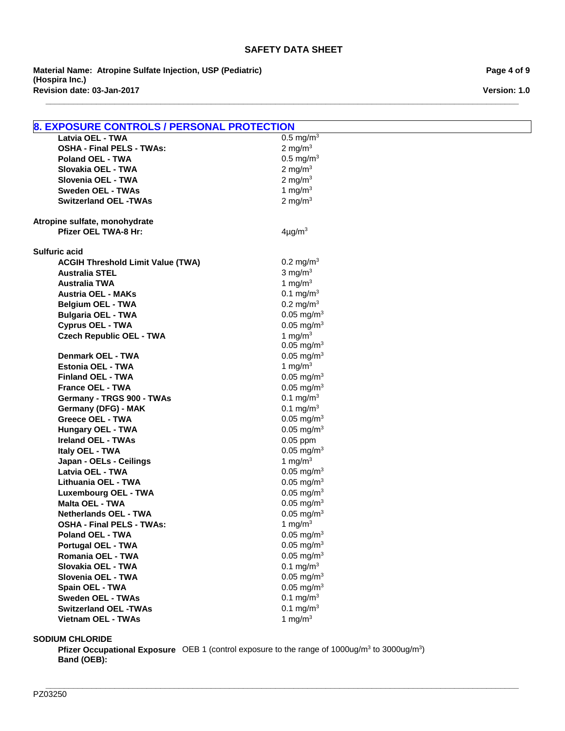**\_\_\_\_\_\_\_\_\_\_\_\_\_\_\_\_\_\_\_\_\_\_\_\_\_\_\_\_\_\_\_\_\_\_\_\_\_\_\_\_\_\_\_\_\_\_\_\_\_\_\_\_\_\_\_\_\_\_\_\_\_\_\_\_\_\_\_\_\_\_\_\_\_\_\_\_\_\_\_\_\_\_\_\_\_\_\_\_\_\_\_\_\_\_\_\_\_\_\_\_\_\_\_**

**Revision date: 03-Jan-2017 Material Name: Atropine Sulfate Injection, USP (Pediatric) (Hospira Inc.)**

**Page 4 of 9**

**Version: 1.0**

| <b>8. EXPOSURE CONTROLS / PERSONAL PROTECTION</b> |                          |
|---------------------------------------------------|--------------------------|
| Latvia OEL - TWA                                  | $0.5 \text{ mg/m}^3$     |
| <b>OSHA - Final PELS - TWAs:</b>                  | 2 mg/m $3$               |
| <b>Poland OEL - TWA</b>                           | $0.5 \text{ mg/m}^3$     |
| Slovakia OEL - TWA                                | 2 mg/m $3$               |
| Slovenia OEL - TWA                                | 2 mg/m $3$               |
| <b>Sweden OEL - TWAs</b>                          | 1 mg/ $m3$               |
| <b>Switzerland OEL -TWAs</b>                      | 2 mg/m $3$               |
|                                                   |                          |
| Atropine sulfate, monohydrate                     |                          |
| <b>Pfizer OEL TWA-8 Hr:</b>                       | $4\mu$ g/m <sup>3</sup>  |
|                                                   |                          |
| <b>Sulfuric acid</b>                              |                          |
| <b>ACGIH Threshold Limit Value (TWA)</b>          | 0.2 mg/m <sup>3</sup>    |
| <b>Australia STEL</b>                             | $3$ mg/m <sup>3</sup>    |
| <b>Australia TWA</b>                              | 1 mg/m $3$               |
| <b>Austria OEL - MAKs</b>                         | 0.1 mg/m <sup>3</sup>    |
| <b>Belgium OEL - TWA</b>                          | $0.2 \text{ mg/m}^3$     |
| <b>Bulgaria OEL - TWA</b>                         | $0.05$ mg/m <sup>3</sup> |
| <b>Cyprus OEL - TWA</b>                           | $0.05$ mg/m <sup>3</sup> |
| <b>Czech Republic OEL - TWA</b>                   | 1 mg/m $3$               |
|                                                   | $0.05$ mg/m <sup>3</sup> |
| <b>Denmark OEL - TWA</b>                          | $0.05$ mg/m <sup>3</sup> |
| <b>Estonia OEL - TWA</b>                          | 1 mg/m $3$               |
| <b>Finland OEL - TWA</b>                          | $0.05$ mg/m <sup>3</sup> |
| <b>France OEL - TWA</b>                           | $0.05$ mg/m <sup>3</sup> |
| Germany - TRGS 900 - TWAs                         | 0.1 mg/m <sup>3</sup>    |
| Germany (DFG) - MAK                               | 0.1 mg/m <sup>3</sup>    |
| <b>Greece OEL - TWA</b>                           | $0.05$ mg/m <sup>3</sup> |
| <b>Hungary OEL - TWA</b>                          | $0.05$ mg/m <sup>3</sup> |
| <b>Ireland OEL - TWAs</b>                         | $0.05$ ppm               |
| Italy OEL - TWA                                   | $0.05$ mg/m <sup>3</sup> |
| Japan - OELs - Ceilings                           | 1 mg/m $3$               |
| Latvia OEL - TWA                                  | $0.05$ mg/m <sup>3</sup> |
| Lithuania OEL - TWA                               | $0.05$ mg/m <sup>3</sup> |
| <b>Luxembourg OEL - TWA</b>                       | $0.05$ mg/m <sup>3</sup> |
| <b>Malta OEL - TWA</b>                            | $0.05$ mg/m <sup>3</sup> |
| <b>Netherlands OEL - TWA</b>                      | $0.05$ mg/m <sup>3</sup> |
| <b>OSHA - Final PELS - TWAs:</b>                  | 1 mg/ $m3$               |
| Poland OEL - TWA                                  | $0.05$ mg/m <sup>3</sup> |
| <b>Portugal OEL - TWA</b>                         | $0.05$ mg/m <sup>3</sup> |
| Romania OEL - TWA                                 | $0.05$ mg/m <sup>3</sup> |
| Slovakia OEL - TWA                                | 0.1 mg/ $m^3$            |
| Slovenia OEL - TWA                                | $0.05$ mg/m <sup>3</sup> |
| Spain OEL - TWA                                   | $0.05$ mg/m <sup>3</sup> |
| <b>Sweden OEL - TWAs</b>                          | 0.1 mg/m <sup>3</sup>    |
| <b>Switzerland OEL -TWAs</b>                      | 0.1 mg/m <sup>3</sup>    |
| Vietnam OEL - TWAs                                | 1 mg/m $3$               |
|                                                   |                          |

## **SODIUM CHLORIDE**

**Pfizer Occupational Exposure** OEB 1 (control exposure to the range of 1000ug/m<sup>3</sup> to 3000ug/m<sup>3</sup>) **Band (OEB):**

**\_\_\_\_\_\_\_\_\_\_\_\_\_\_\_\_\_\_\_\_\_\_\_\_\_\_\_\_\_\_\_\_\_\_\_\_\_\_\_\_\_\_\_\_\_\_\_\_\_\_\_\_\_\_\_\_\_\_\_\_\_\_\_\_\_\_\_\_\_\_\_\_\_\_\_\_\_\_\_\_\_\_\_\_\_\_\_\_\_\_\_\_\_\_\_\_\_\_\_\_\_\_\_**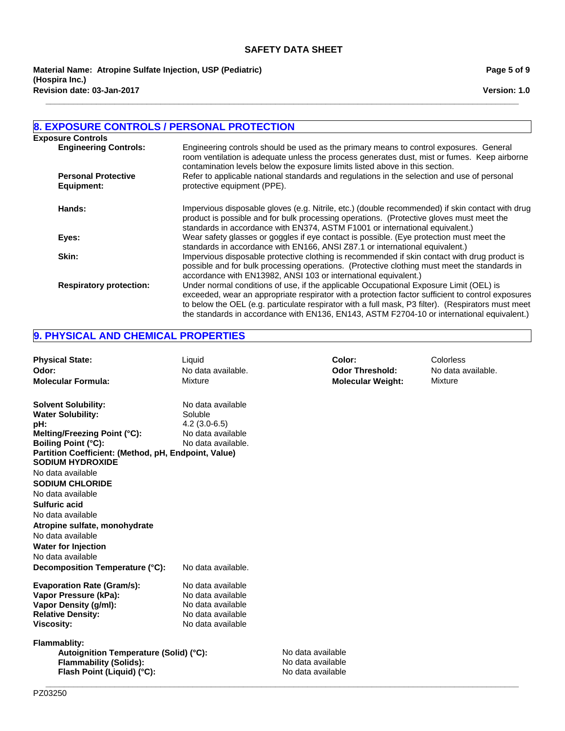**\_\_\_\_\_\_\_\_\_\_\_\_\_\_\_\_\_\_\_\_\_\_\_\_\_\_\_\_\_\_\_\_\_\_\_\_\_\_\_\_\_\_\_\_\_\_\_\_\_\_\_\_\_\_\_\_\_\_\_\_\_\_\_\_\_\_\_\_\_\_\_\_\_\_\_\_\_\_\_\_\_\_\_\_\_\_\_\_\_\_\_\_\_\_\_\_\_\_\_\_\_\_\_**

**Revision date: 03-Jan-2017 Material Name: Atropine Sulfate Injection, USP (Pediatric) (Hospira Inc.)**

#### **Page 5 of 9**

**Version: 1.0**

## **8. EXPOSURE CONTROLS / PERSONAL PROTECTION**

| <b>Exposure Controls</b>       |                                                                                                                                                                                                                                                                                                                                                                                                 |
|--------------------------------|-------------------------------------------------------------------------------------------------------------------------------------------------------------------------------------------------------------------------------------------------------------------------------------------------------------------------------------------------------------------------------------------------|
| <b>Engineering Controls:</b>   | Engineering controls should be used as the primary means to control exposures. General<br>room ventilation is adequate unless the process generates dust, mist or fumes. Keep airborne<br>contamination levels below the exposure limits listed above in this section.                                                                                                                          |
| <b>Personal Protective</b>     | Refer to applicable national standards and regulations in the selection and use of personal                                                                                                                                                                                                                                                                                                     |
| Equipment:                     | protective equipment (PPE).                                                                                                                                                                                                                                                                                                                                                                     |
| Hands:                         | Impervious disposable gloves (e.g. Nitrile, etc.) (double recommended) if skin contact with drug<br>product is possible and for bulk processing operations. (Protective gloves must meet the<br>standards in accordance with EN374, ASTM F1001 or international equivalent.)                                                                                                                    |
| Eyes:                          | Wear safety glasses or goggles if eye contact is possible. (Eye protection must meet the<br>standards in accordance with EN166, ANSI Z87.1 or international equivalent.)                                                                                                                                                                                                                        |
| Skin:                          | Impervious disposable protective clothing is recommended if skin contact with drug product is<br>possible and for bulk processing operations. (Protective clothing must meet the standards in<br>accordance with EN13982, ANSI 103 or international equivalent.)                                                                                                                                |
| <b>Respiratory protection:</b> | Under normal conditions of use, if the applicable Occupational Exposure Limit (OEL) is<br>exceeded, wear an appropriate respirator with a protection factor sufficient to control exposures<br>to below the OEL (e.g. particulate respirator with a full mask, P3 filter). (Respirators must meet<br>the standards in accordance with EN136, EN143, ASTM F2704-10 or international equivalent.) |

## **9. PHYSICAL AND CHEMICAL PROPERTIES**

| <b>Physical State:</b><br>Odor:<br><b>Molecular Formula:</b>                                                                                                                                                   | Liquid<br>No data available.<br>Mixture                                                               |                                                             | Color:<br><b>Odor Threshold:</b><br><b>Molecular Weight:</b> | Colorless<br>No data available.<br>Mixture |
|----------------------------------------------------------------------------------------------------------------------------------------------------------------------------------------------------------------|-------------------------------------------------------------------------------------------------------|-------------------------------------------------------------|--------------------------------------------------------------|--------------------------------------------|
| <b>Solvent Solubility:</b><br><b>Water Solubility:</b><br>pH:<br>Melting/Freezing Point (°C):<br><b>Boiling Point (°C):</b><br>Partition Coefficient: (Method, pH, Endpoint, Value)<br><b>SODIUM HYDROXIDE</b> | No data available<br>Soluble<br>$4.2(3.0-6.5)$<br>No data available<br>No data available.             |                                                             |                                                              |                                            |
| No data available<br><b>SODIUM CHLORIDE</b><br>No data available<br><b>Sulfuric acid</b><br>No data available<br>Atropine sulfate, monohydrate<br>No data available                                            |                                                                                                       |                                                             |                                                              |                                            |
| <b>Water for Injection</b><br>No data available<br>Decomposition Temperature (°C):                                                                                                                             | No data available.                                                                                    |                                                             |                                                              |                                            |
| <b>Evaporation Rate (Gram/s):</b><br>Vapor Pressure (kPa):<br>Vapor Density (g/ml):<br><b>Relative Density:</b><br><b>Viscosity:</b>                                                                           | No data available<br>No data available<br>No data available<br>No data available<br>No data available |                                                             |                                                              |                                            |
| <b>Flammablity:</b><br>Autoignition Temperature (Solid) (°C):<br><b>Flammability (Solids):</b><br>Flash Point (Liquid) (°C):                                                                                   |                                                                                                       | No data available<br>No data available<br>No data available |                                                              |                                            |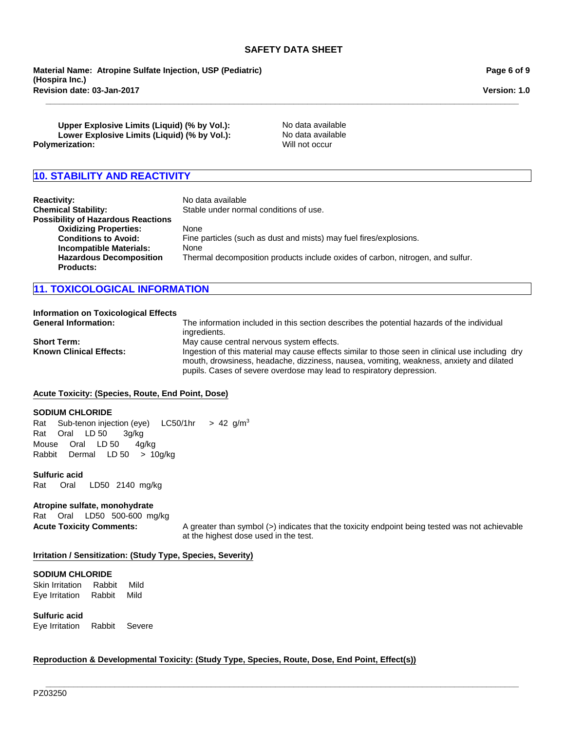**\_\_\_\_\_\_\_\_\_\_\_\_\_\_\_\_\_\_\_\_\_\_\_\_\_\_\_\_\_\_\_\_\_\_\_\_\_\_\_\_\_\_\_\_\_\_\_\_\_\_\_\_\_\_\_\_\_\_\_\_\_\_\_\_\_\_\_\_\_\_\_\_\_\_\_\_\_\_\_\_\_\_\_\_\_\_\_\_\_\_\_\_\_\_\_\_\_\_\_\_\_\_\_**

**Material Name: Atropine Sulfate Injection, USP (Pediatric) (Hospira Inc.) Revision date: 03-Jan-2017**

**Page 6 of 9**

**Version: 1.0**

**Upper Explosive Limits (Liquid) (% by Vol.):** No data available Lower Explosive Limits (Liquid) (% by Vol.): No data available **Polymerization:** Will not occur

## **10. STABILITY AND REACTIVITY**

| <b>Reactivity:</b><br><b>Chemical Stability:</b> | No data available<br>Stable under normal conditions of use.                    |
|--------------------------------------------------|--------------------------------------------------------------------------------|
| <b>Possibility of Hazardous Reactions</b>        |                                                                                |
| <b>Oxidizing Properties:</b>                     | None                                                                           |
| <b>Conditions to Avoid:</b>                      | Fine particles (such as dust and mists) may fuel fires/explosions.             |
| <b>Incompatible Materials:</b>                   | None                                                                           |
| <b>Hazardous Decomposition</b>                   | Thermal decomposition products include oxides of carbon, nitrogen, and sulfur. |
| <b>Products:</b>                                 |                                                                                |

## **11. TOXICOLOGICAL INFORMATION**

## **Information on Toxicological Effects**

**General Information:** The information included in this section describes the potential hazards of the individual ingredients. **Short Term:** May cause central nervous system effects.<br>**Known Clinical Effects:** Magnum lingestion of this material may cause effects Ingestion of this material may cause effects similar to those seen in clinical use including dry mouth, drowsiness, headache, dizziness, nausea, vomiting, weakness, anxiety and dilated pupils. Cases of severe overdose may lead to respiratory depression.

#### **Acute Toxicity: (Species, Route, End Point, Dose)**

#### **SODIUM CHLORIDE**

MouseOralLD 504g/kg RabbitDermalLD 50>10g/kg RatSub-tenon injection (eye)LC50/1hr >42g/m3 RatOralLD 503g/kg

#### **Sulfuric acid**

Rat Oral LD50 2140mg/kg

#### **Atropine sulfate, monohydrate**

RatOralLD50 500-600mg/kg

**Acute Toxicity Comments:** A greater than symbol (>) indicates that the toxicity endpoint being tested was not achievable at the highest dose used in the test.

#### **Irritation / Sensitization: (Study Type, Species, Severity)**

#### **SODIUM CHLORIDE**

Skin IrritationRabbitMild Eye IrritationRabbitMild

**Sulfuric acid**

Eye IrritationRabbitSevere

#### **Reproduction & Developmental Toxicity: (Study Type, Species, Route, Dose, End Point, Effect(s))**

**\_\_\_\_\_\_\_\_\_\_\_\_\_\_\_\_\_\_\_\_\_\_\_\_\_\_\_\_\_\_\_\_\_\_\_\_\_\_\_\_\_\_\_\_\_\_\_\_\_\_\_\_\_\_\_\_\_\_\_\_\_\_\_\_\_\_\_\_\_\_\_\_\_\_\_\_\_\_\_\_\_\_\_\_\_\_\_\_\_\_\_\_\_\_\_\_\_\_\_\_\_\_\_**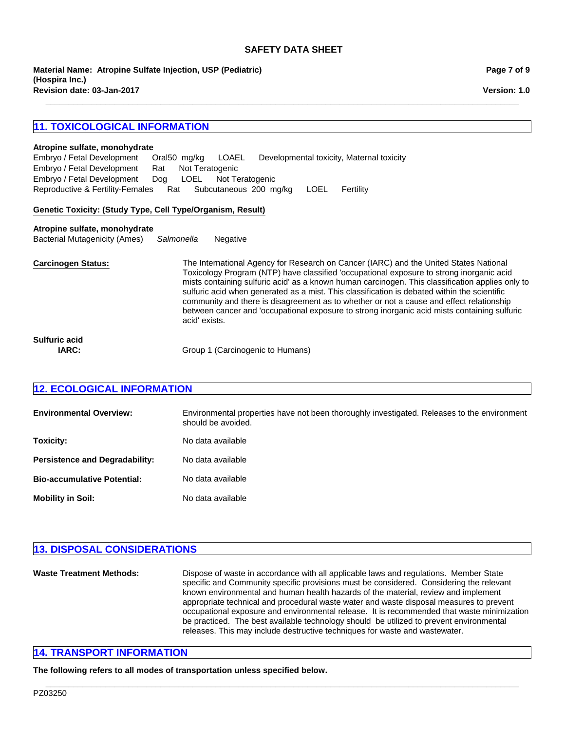**\_\_\_\_\_\_\_\_\_\_\_\_\_\_\_\_\_\_\_\_\_\_\_\_\_\_\_\_\_\_\_\_\_\_\_\_\_\_\_\_\_\_\_\_\_\_\_\_\_\_\_\_\_\_\_\_\_\_\_\_\_\_\_\_\_\_\_\_\_\_\_\_\_\_\_\_\_\_\_\_\_\_\_\_\_\_\_\_\_\_\_\_\_\_\_\_\_\_\_\_\_\_\_**

**Revision date: 03-Jan-2017 Material Name: Atropine Sulfate Injection, USP (Pediatric) (Hospira Inc.)**

## **11. TOXICOLOGICAL INFORMATION**

#### **Atropine sulfate, monohydrate**

Reproductive & Fertility-FemalesRatSubcutaneous200mg/kgLOELFertility Embryo / Fetal DevelopmentOral50mg/kgLOAELDevelopmental toxicity, Maternal toxicity Embryo / Fetal DevelopmentRatNot Teratogenic Embryo / Fetal DevelopmentDogLOELNot Teratogenic

#### **Genetic Toxicity: (Study Type, Cell Type/Organism, Result)**

#### **Atropine sulfate, monohydrate**

Bacterial Mutagenicity (Ames)*Salmonella* Negative

**Carcinogen Status:** The International Agency for Research on Cancer (IARC) and the United States National Toxicology Program (NTP) have classified 'occupational exposure to strong inorganic acid mists containing sulfuric acid' as a known human carcinogen. This classification applies only to sulfuric acid when generated as a mist. This classification is debated within the scientific community and there is disagreement as to whether or not a cause and effect relationship between cancer and 'occupational exposure to strong inorganic acid mists containing sulfuric acid' exists.

**Sulfuric acid**

**IARC:** Group 1 (Carcinogenic to Humans)

### **12. ECOLOGICAL INFORMATION**

| <b>Environmental Overview:</b>        | Environmental properties have not been thoroughly investigated. Releases to the environment<br>should be avoided. |
|---------------------------------------|-------------------------------------------------------------------------------------------------------------------|
| Toxicity:                             | No data available                                                                                                 |
| <b>Persistence and Degradability:</b> | No data available                                                                                                 |
| <b>Bio-accumulative Potential:</b>    | No data available                                                                                                 |
| <b>Mobility in Soil:</b>              | No data available                                                                                                 |

## **13. DISPOSAL CONSIDERATIONS**

**Waste Treatment Methods:** Dispose of waste in accordance with all applicable laws and regulations. Member State specific and Community specific provisions must be considered. Considering the relevant known environmental and human health hazards of the material, review and implement appropriate technical and procedural waste water and waste disposal measures to prevent occupational exposure and environmental release. It is recommended that waste minimization be practiced. The best available technology should be utilized to prevent environmental releases. This may include destructive techniques for waste and wastewater.

**\_\_\_\_\_\_\_\_\_\_\_\_\_\_\_\_\_\_\_\_\_\_\_\_\_\_\_\_\_\_\_\_\_\_\_\_\_\_\_\_\_\_\_\_\_\_\_\_\_\_\_\_\_\_\_\_\_\_\_\_\_\_\_\_\_\_\_\_\_\_\_\_\_\_\_\_\_\_\_\_\_\_\_\_\_\_\_\_\_\_\_\_\_\_\_\_\_\_\_\_\_\_\_**

## **14. TRANSPORT INFORMATION**

**The following refers to all modes of transportation unless specified below.**

PZ03250

**Page 7 of 9**

**Version: 1.0**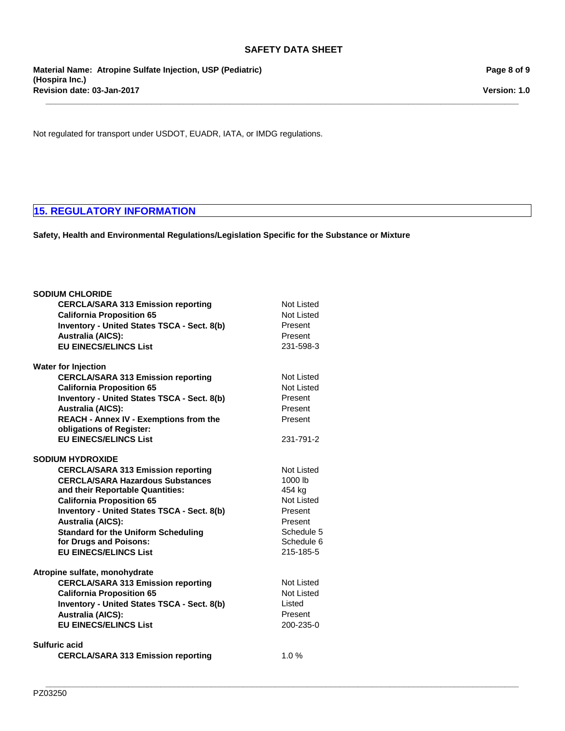**\_\_\_\_\_\_\_\_\_\_\_\_\_\_\_\_\_\_\_\_\_\_\_\_\_\_\_\_\_\_\_\_\_\_\_\_\_\_\_\_\_\_\_\_\_\_\_\_\_\_\_\_\_\_\_\_\_\_\_\_\_\_\_\_\_\_\_\_\_\_\_\_\_\_\_\_\_\_\_\_\_\_\_\_\_\_\_\_\_\_\_\_\_\_\_\_\_\_\_\_\_\_\_**

**\_\_\_\_\_\_\_\_\_\_\_\_\_\_\_\_\_\_\_\_\_\_\_\_\_\_\_\_\_\_\_\_\_\_\_\_\_\_\_\_\_\_\_\_\_\_\_\_\_\_\_\_\_\_\_\_\_\_\_\_\_\_\_\_\_\_\_\_\_\_\_\_\_\_\_\_\_\_\_\_\_\_\_\_\_\_\_\_\_\_\_\_\_\_\_\_\_\_\_\_\_\_\_**

**Revision date: 03-Jan-2017 Material Name: Atropine Sulfate Injection, USP (Pediatric) (Hospira Inc.)**

**Page 8 of 9**

**Version: 1.0**

Not regulated for transport under USDOT, EUADR, IATA, or IMDG regulations.

## **15. REGULATORY INFORMATION**

**Safety, Health and Environmental Regulations/Legislation Specific for the Substance or Mixture**

| <b>SODIUM CHLORIDE</b>                             |                      |
|----------------------------------------------------|----------------------|
| <b>CERCLA/SARA 313 Emission reporting</b>          | Not Listed           |
| <b>California Proposition 65</b>                   | Not Listed           |
| Inventory - United States TSCA - Sect. 8(b)        | Present              |
| <b>Australia (AICS):</b>                           | Present              |
| <b>EU EINECS/ELINCS List</b>                       | 231-598-3            |
| <b>Water for Injection</b>                         |                      |
| <b>CERCLA/SARA 313 Emission reporting</b>          | Not Listed           |
| <b>California Proposition 65</b>                   | <b>Not Listed</b>    |
| <b>Inventory - United States TSCA - Sect. 8(b)</b> | Present              |
| <b>Australia (AICS):</b>                           | Present              |
| <b>REACH - Annex IV - Exemptions from the</b>      | Present              |
| obligations of Register:                           |                      |
| <b>EU EINECS/ELINCS List</b>                       | 231-791-2            |
| <b>SODIUM HYDROXIDE</b>                            |                      |
| <b>CERCLA/SARA 313 Emission reporting</b>          | <b>Not Listed</b>    |
| <b>CERCLA/SARA Hazardous Substances</b>            | 1000 lb              |
| and their Reportable Quantities:                   | 454 kg<br>Not Listed |
| <b>California Proposition 65</b>                   |                      |
| Inventory - United States TSCA - Sect. 8(b)        | Present              |
| <b>Australia (AICS):</b>                           | Present              |
| <b>Standard for the Uniform Scheduling</b>         | Schedule 5           |
| for Drugs and Poisons:                             | Schedule 6           |
| <b>EU EINECS/ELINCS List</b>                       | 215-185-5            |
| Atropine sulfate, monohydrate                      |                      |
| <b>CERCLA/SARA 313 Emission reporting</b>          | Not Listed           |
| <b>California Proposition 65</b>                   | <b>Not Listed</b>    |
| <b>Inventory - United States TSCA - Sect. 8(b)</b> | Listed               |
| <b>Australia (AICS):</b>                           | Present              |
| <b>EU EINECS/ELINCS List</b>                       | 200-235-0            |
| Sulfuric acid                                      |                      |
| <b>CERCLA/SARA 313 Emission reporting</b>          | 1.0%                 |